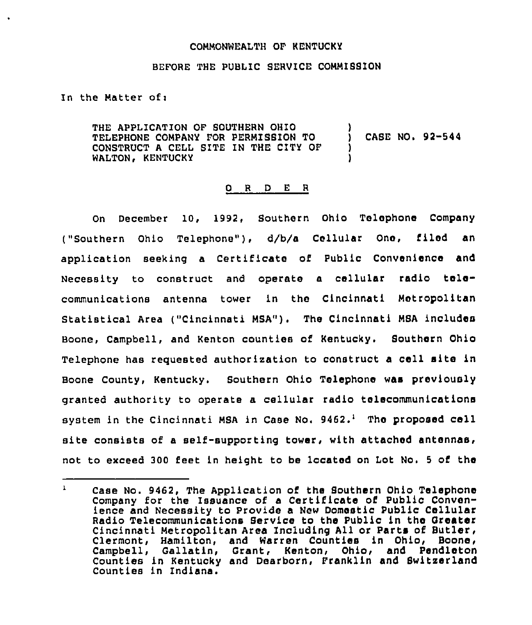## COMMONWEALTH OF KENTUCKY

## BEFORE THE PUBLIC SERVICE COMMIBSION

In the Matter of:

THE APPLICATION OF SOUTHERN OHIO TELEPHONE COMPANY FOR PERMISSION TO CONSTRUCT <sup>A</sup> CELL SITE IN THE CITY OF WALTON, KENTUCKY ) ) CASE NO <sup>~</sup> 92-544 ) )

## O R D E R

On December 10, 1992, Southern Ohio Telephone Company ("Southern Ohio Telephone"), d/b/a Cellular One, filed an application seeking a Certificate of Public Convenience and Necessity to construct and operate <sup>a</sup> cellular radio telecommunications antenna tower in the Cincinnati Metropolitan Statistical Area ("Cincinnati MSA"). The Cincinnati MSA includes Boone, Campbell, and Kenton counties of Kentucky. Southern Ohio Telephone has requested authorization to construct <sup>a</sup> cell site in Boone County, Kentucky. Southern Ohio Telephone was previously granted authority to operate a cellular radio telecommunications system in the Cincinnati MSA in Case No.  $9462.^1$  The proposed cell site consists of a self-supporting tower, with attached antennas, not to exceed 300 feet in height to be located on Lot No. <sup>5</sup> of the

 $\bf{1}$ Case No. 9462, The Application of the Bouthern Ohio Telephone Company for the Issuance of a Certificate of Public Convenience and Necessity to Provide a New Domestic Public Cellular Radio Telecommunications Service to the Public in the Greater Cincinnati Metropolitan Area Including All or Parts of Butler, Clermont, Hamilton, and Warren Counties in Ohio, Boone, Campbell, Gallatln, Grant, Kenton, Ohio, and Pendleton Counties in Kentucky and Dearborn, Franklin and Switzerland Counties in Indiana.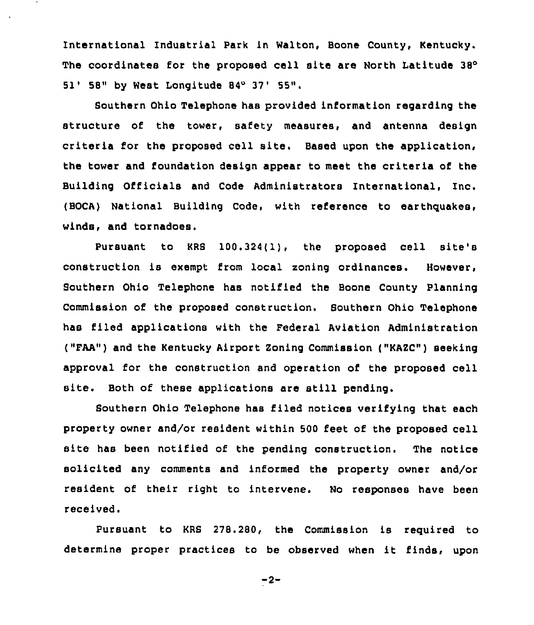International Industrial Park in Walton, Boone County, Kentucky. The coordinates for the proposed cell site are North Latitude 38° 51' 58" by West Longitude 84° 37' 55".

Southern Ohio Telephone has provided information regarding the structure of the tower, safety measures, and antenna design criteria for the proposed cell site. Based upon the application, the tower and foundation design appear to meet the criteria of the Building Officials and Code Administrators International, Inc. (BOCA) National Building Code, with reference to earthquakes, winds, and tornadoes.

Pursuant to KRS 100.324{1), the proposed cell site's construction is exempt from local soning ordinances. However, Southern Ohio Telephone has notified the Boone County Planning Commission of the proposed construction. Southern Ohio Telephone has filed applications with the Federal Aviation Administration ("FAA") and the Kentucky Airport Zoning Commission ("KAZC") seeking approval for the construction and operation of the proposed cell site. Both of these applications are still pending.

Southern Ohio Telephone has filed notices verifying that each property owner and/or resident within 500 feet of the proposed cell site has been notified of the pending construction. The notice solicited any comments and informed the property owner and/or resident of their right to intervene. No responses have been received.

Pursuant to KRS 278.280, the Commission is required to determine proper practices to be observed when it finds, upon

 $-2-$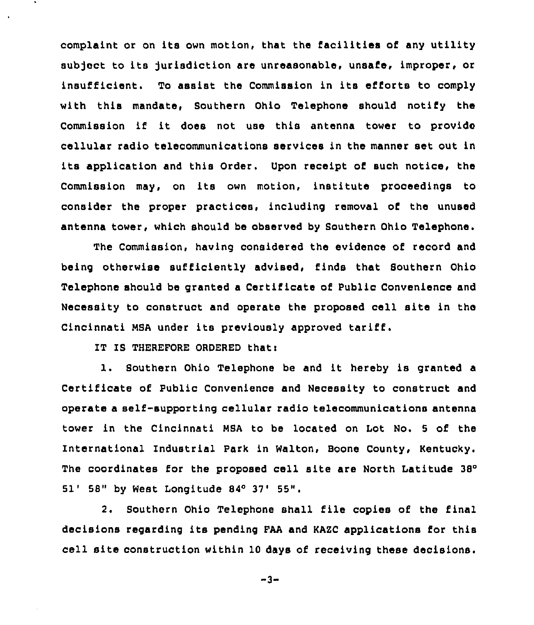complaint or on its own motion, that the facilities of any utility subject to its jurisdiction are unreasonable, unsafe, improper, or insufficient. To assist the Commission in its efforts to comply with this mandate, Southern Ohio Telephone should notify the Commission if it does not use this antenna tower to provide cellular radio telecommunications services in the manner set out in its application and this Order. Upon receipt of such notice, the Commission may, on its own motion, institute proceedings to consider the proper practices, including removal of the unused antenna tower, which should be observed by Southern Ohio Telephone.

The Commission, having considered the evidence of record and being otherwise sufficiently advised, finds that Southern Ohio Telephone should be granted a Certificate of Public Convenience and Necessity to construct and operate the proposed cell site in the Cincinnati MSA under its previously approved tariff.

IT IS THEREFORE ORDERED that:

l. Southern Ohio Telephone be and it hereby is granted <sup>a</sup> Certificate of Public Convenience and Necessity to construct and operate a self-supporting cellular radio telecommunications antenna tower in the Cincinnati MSA to be located on Lot No. <sup>5</sup> of the International Industrial Park in Walton, Boone County, Kentucky. The coordinates for the proposed cell site are North Latitude 38° 51' 58" by West Longitude 84° 37' 55".

2. Southern Ohio Telephone shall file copies of the final decisions regarding its pending FAA and KAZC applications for this cell site construction within 10 days of receiving these decisions.

 $-3-$